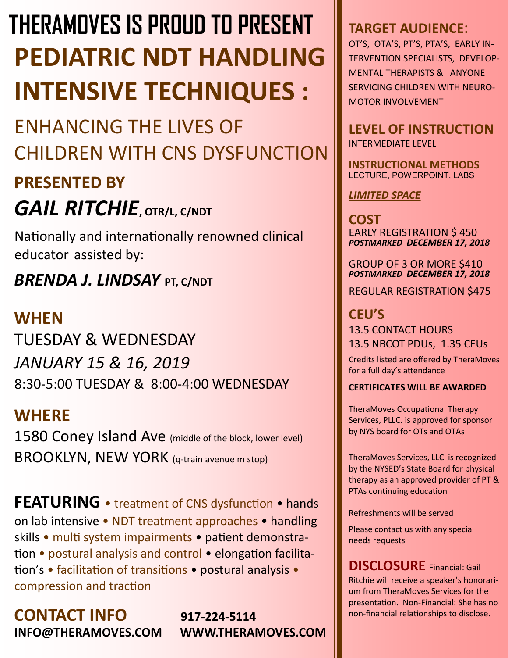# **PEDIATRIC NDT HANDLING INTENSIVE TECHNIQUES : THERAMOVES IS PROUD TO PRESENT**

# ENHANCING THE LIVES OF CHILDREN WITH CNS DYSFUNCTION

# **PRESENTED BY**

# *GAIL RITCHIE***, OTR/L, C/NDT**

Nationally and internationally renowned clinical educatorassisted by:

# *BRENDA J. LINDSAY* **PT, C/NDT**

# **WHEN**

TUESDAY & WEDNESDAY *JANUARY 15 & 16, 2019* 8:30-5:00 TUESDAY & 8:00-4:00 WEDNESDAY

# **WHERE**

1580 Coney Island Ave (middle of the block, lower level) BROOKLYN, NEW YORK (q-train avenue m stop)

**FEATURING** • treatment of CNS dysfunction • hands on lab intensive • NDT treatment approaches • handling skills • multi system impairments • patient demonstration • postural analysis and control • elongation facilitation's • facilitation of transitions • postural analysis • compression and traction

**CONTACT INFO** 917-224-5114<br> **INFO@THERAMOVES.COM** WWW.THERAMOVES.COM **INFO@THERAMOVES.COM** 

# **TARGET AUDIENCE**:

OT'S, OTA'S, PT'S, PTA'S, EARLY IN-TERVENTION SPECIALISTS, DEVELOP-MENTAL THERAPISTS & ANYONE SERVICING CHILDREN WITH NEURO-MOTOR INVOLVEMENT

**LEVEL OF INSTRUCTION** INTERMEDIATE LEVEL

**INSTRUCTIONAL METHODS**  LECTURE, POWERPOINT, LABS

*LIMITED SPACE*

**COST** EARLY REGISTRATION \$ 450 *POSTMARKED DECEMBER 17, 2018*

GROUP OF 3 OR MORE \$410 *POSTMARKED DECEMBER 17, 2018*

REGULAR REGISTRATION \$475

**CEU'S**  13.5 CONTACT HOURS 13.5 NBCOT PDUs, 1.35 CEUs

Credits listed are offered by TheraMoves for a full day's attendance

#### **CERTIFICATES WILL BE AWARDED**

TheraMoves Occupational Therapy Services, PLLC. is approved for sponsor by NYS board for OTs and OTAs

TheraMoves Services, LLC is recognized by the NYSED's State Board for physical therapy as an approved provider of PT & PTAs continuing education

Refreshments will be served

Please contact us with any special needs requests

**DISCLOSURE** Financial: Gail Ritchie will receive a speaker's honorarium from TheraMoves Services for the presentation. Non-Financial: She has no non-financial relationships to disclose.